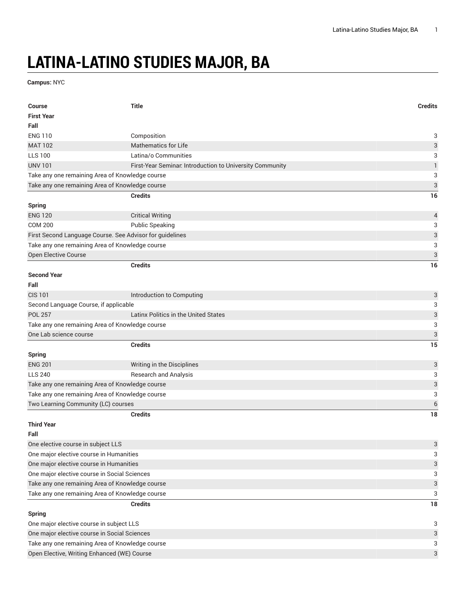## **LATINA-LATINO STUDIES MAJOR, BA**

**Campus:** NYC

| <b>Course</b>                                            | <b>Title</b>                                             | <b>Credits</b>            |  |
|----------------------------------------------------------|----------------------------------------------------------|---------------------------|--|
| <b>First Year</b>                                        |                                                          |                           |  |
| Fall                                                     |                                                          |                           |  |
| <b>ENG 110</b>                                           | Composition                                              | 3                         |  |
| <b>MAT 102</b>                                           | <b>Mathematics for Life</b>                              | $\ensuremath{\mathsf{3}}$ |  |
| <b>LLS 100</b>                                           | Latina/o Communities                                     | 3                         |  |
| <b>UNV 101</b>                                           | First-Year Seminar. Introduction to University Community | $\mathbf{1}$              |  |
| Take any one remaining Area of Knowledge course          |                                                          | 3                         |  |
| Take any one remaining Area of Knowledge course          |                                                          | $\sqrt{3}$                |  |
|                                                          | <b>Credits</b>                                           | 16                        |  |
| Spring                                                   |                                                          |                           |  |
| <b>ENG 120</b>                                           | <b>Critical Writing</b>                                  | $\overline{\mathcal{L}}$  |  |
| <b>COM 200</b>                                           | <b>Public Speaking</b>                                   | 3                         |  |
| First Second Language Course. See Advisor for guidelines |                                                          | $\sqrt{3}$                |  |
| Take any one remaining Area of Knowledge course          |                                                          | 3                         |  |
| Open Elective Course                                     |                                                          | $\ensuremath{\mathsf{3}}$ |  |
|                                                          | <b>Credits</b>                                           | 16                        |  |
| <b>Second Year</b>                                       |                                                          |                           |  |
| Fall                                                     |                                                          |                           |  |
| <b>CIS 101</b>                                           | Introduction to Computing                                | 3                         |  |
| Second Language Course, if applicable                    |                                                          | 3                         |  |
| <b>POL 257</b>                                           | Latinx Politics in the United States                     | $\ensuremath{\mathsf{3}}$ |  |
| Take any one remaining Area of Knowledge course          |                                                          | 3                         |  |
| One Lab science course                                   |                                                          | 3                         |  |
|                                                          | <b>Credits</b>                                           | 15                        |  |
| <b>Spring</b>                                            |                                                          |                           |  |
| <b>ENG 201</b>                                           | Writing in the Disciplines                               | $\sqrt{3}$                |  |
| <b>LLS 240</b>                                           | <b>Research and Analysis</b>                             | 3                         |  |
| Take any one remaining Area of Knowledge course          |                                                          | $\ensuremath{\mathsf{3}}$ |  |
| Take any one remaining Area of Knowledge course          |                                                          | 3                         |  |
| Two Learning Community (LC) courses                      |                                                          | $\boldsymbol{6}$          |  |
|                                                          | <b>Credits</b>                                           | 18                        |  |
| <b>Third Year</b>                                        |                                                          |                           |  |
| Fall                                                     |                                                          |                           |  |
| One elective course in subject LLS                       |                                                          | $\ensuremath{\mathsf{3}}$ |  |
| One major elective course in Humanities                  |                                                          | 3                         |  |
| One major elective course in Humanities                  |                                                          | 3                         |  |
| One major elective course in Social Sciences             |                                                          | 3                         |  |
| Take any one remaining Area of Knowledge course          |                                                          | $\ensuremath{\mathsf{3}}$ |  |
| Take any one remaining Area of Knowledge course          |                                                          | 3                         |  |
|                                                          | <b>Credits</b>                                           | 18                        |  |
| <b>Spring</b>                                            |                                                          |                           |  |
| One major elective course in subject LLS                 |                                                          |                           |  |
| One major elective course in Social Sciences             |                                                          |                           |  |
| Take any one remaining Area of Knowledge course          |                                                          |                           |  |
|                                                          | Open Elective, Writing Enhanced (WE) Course              |                           |  |